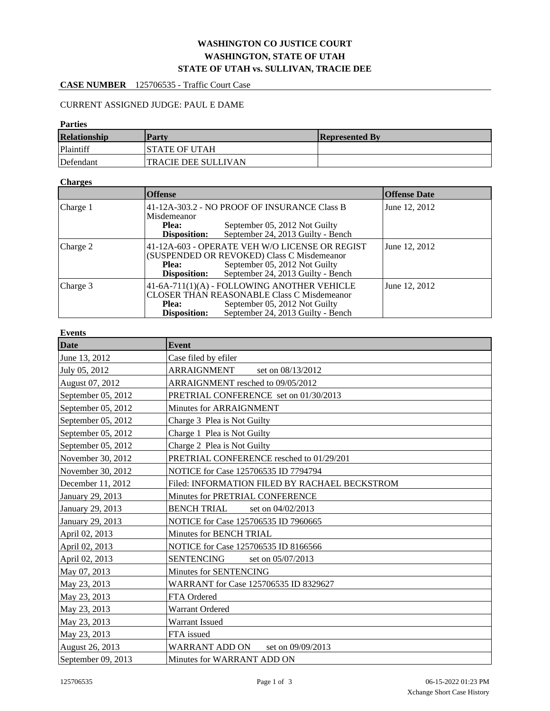# **WASHINGTON CO JUSTICE COURT WASHINGTON, STATE OF UTAH STATE OF UTAH vs. SULLIVAN, TRACIE DEE**

# **CASE NUMBER** 125706535 - Traffic Court Case

## CURRENT ASSIGNED JUDGE: PAUL E DAME

### **Parties**

| <b>Relationship</b> | <b>Party</b>               | <b>Represented By</b> |
|---------------------|----------------------------|-----------------------|
| Plaintiff           | ISTATE OF UTAH             |                       |
| Defendant           | <b>TRACIE DEE SULLIVAN</b> |                       |

#### **Charges**

|                     | <b>Offense</b>                                                                                                                                                                                  | <b>Offense Date</b> |
|---------------------|-------------------------------------------------------------------------------------------------------------------------------------------------------------------------------------------------|---------------------|
| Charge 1            | 41-12A-303.2 - NO PROOF OF INSURANCE Class B<br>Misdemeanor<br>September 05, 2012 Not Guilty<br>Plea:<br>September 24, 2013 Guilty - Bench<br>Disposition:                                      | June 12, 2012       |
| $ {\rm Charge}\,2 $ | 41-12A-603 - OPERATE VEH W/O LICENSE OR REGIST<br>(SUSPENDED OR REVOKED) Class C Misdemeanor<br>September 05, 2012 Not Guilty<br>Plea:<br>September 24, 2013 Guilty - Bench<br>Disposition:     | June 12, 2012       |
| Charge $3$          | 41-6A-711(1)(A) - FOLLOWING ANOTHER VEHICLE<br><b>CLOSER THAN REASONABLE Class C Misdemeanor</b><br>September 05, 2012 Not Guilty<br>Plea:<br>Disposition:<br>September 24, 2013 Guilty - Bench | June 12, 2012       |

### **Events**

| Date               | Event                                         |  |
|--------------------|-----------------------------------------------|--|
| June 13, 2012      | Case filed by efiler                          |  |
| July 05, 2012      | <b>ARRAIGNMENT</b><br>set on 08/13/2012       |  |
| August 07, 2012    | ARRAIGNMENT resched to 09/05/2012             |  |
| September 05, 2012 | PRETRIAL CONFERENCE set on 01/30/2013         |  |
| September 05, 2012 | Minutes for ARRAIGNMENT                       |  |
| September 05, 2012 | Charge 3 Plea is Not Guilty                   |  |
| September 05, 2012 | Charge 1 Plea is Not Guilty                   |  |
| September 05, 2012 | Charge 2 Plea is Not Guilty                   |  |
| November 30, 2012  | PRETRIAL CONFERENCE resched to 01/29/201      |  |
| November 30, 2012  | NOTICE for Case 125706535 ID 7794794          |  |
| December 11, 2012  | Filed: INFORMATION FILED BY RACHAEL BECKSTROM |  |
| January 29, 2013   | Minutes for PRETRIAL CONFERENCE               |  |
| January 29, 2013   | <b>BENCH TRIAL</b><br>set on 04/02/2013       |  |
| January 29, 2013   | NOTICE for Case 125706535 ID 7960665          |  |
| April 02, 2013     | Minutes for BENCH TRIAL                       |  |
| April 02, 2013     | NOTICE for Case 125706535 ID 8166566          |  |
| April 02, 2013     | <b>SENTENCING</b><br>set on 05/07/2013        |  |
| May 07, 2013       | Minutes for SENTENCING                        |  |
| May 23, 2013       | WARRANT for Case 125706535 ID 8329627         |  |
| May 23, 2013       | FTA Ordered                                   |  |
| May 23, 2013       | Warrant Ordered                               |  |
| May 23, 2013       | Warrant Issued                                |  |
| May 23, 2013       | FTA issued                                    |  |
| August 26, 2013    | <b>WARRANT ADD ON</b><br>set on 09/09/2013    |  |
| September 09, 2013 | Minutes for WARRANT ADD ON                    |  |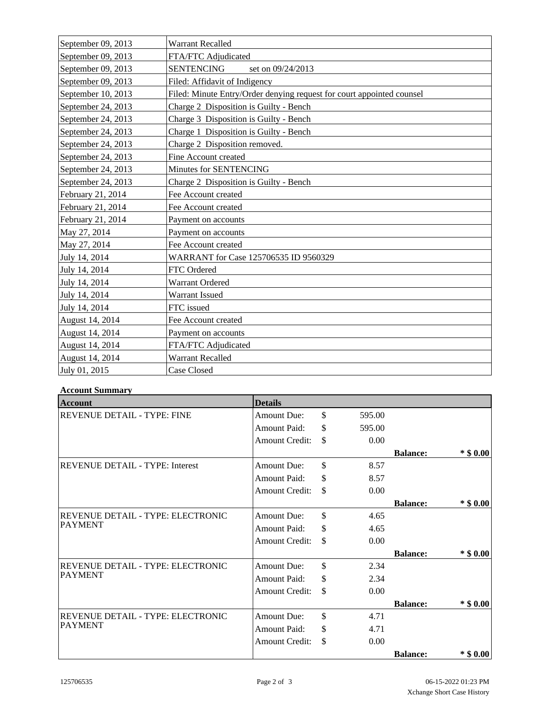| September 09, 2013 | <b>Warrant Recalled</b>                                               |
|--------------------|-----------------------------------------------------------------------|
| September 09, 2013 | FTA/FTC Adjudicated                                                   |
| September 09, 2013 | <b>SENTENCING</b><br>set on 09/24/2013                                |
| September 09, 2013 | Filed: Affidavit of Indigency                                         |
| September 10, 2013 | Filed: Minute Entry/Order denying request for court appointed counsel |
| September 24, 2013 | Charge 2 Disposition is Guilty - Bench                                |
| September 24, 2013 | Charge 3 Disposition is Guilty - Bench                                |
| September 24, 2013 | Charge 1 Disposition is Guilty - Bench                                |
| September 24, 2013 | Charge 2 Disposition removed.                                         |
| September 24, 2013 | Fine Account created                                                  |
| September 24, 2013 | Minutes for SENTENCING                                                |
| September 24, 2013 | Charge 2 Disposition is Guilty - Bench                                |
| February 21, 2014  | Fee Account created                                                   |
| February 21, 2014  | Fee Account created                                                   |
| February 21, 2014  | Payment on accounts                                                   |
| May 27, 2014       | Payment on accounts                                                   |
| May 27, 2014       | Fee Account created                                                   |
| July 14, 2014      | WARRANT for Case 125706535 ID 9560329                                 |
| July 14, 2014      | FTC Ordered                                                           |
| July 14, 2014      | <b>Warrant Ordered</b>                                                |
| July 14, 2014      | Warrant Issued                                                        |
| July 14, 2014      | FTC issued                                                            |
| August 14, 2014    | Fee Account created                                                   |
| August 14, 2014    | Payment on accounts                                                   |
| August 14, 2014    | FTA/FTC Adjudicated                                                   |
| August 14, 2014    | Warrant Recalled                                                      |
| July 01, 2015      | Case Closed                                                           |

### **Account Summary**

| <b>Account</b>                           | <b>Details</b>        |              |                 |             |
|------------------------------------------|-----------------------|--------------|-----------------|-------------|
| <b>REVENUE DETAIL - TYPE: FINE</b>       | <b>Amount Due:</b>    | \$<br>595.00 |                 |             |
|                                          | Amount Paid:          | \$<br>595.00 |                 |             |
|                                          | <b>Amount Credit:</b> | \$<br>0.00   |                 |             |
|                                          |                       |              | <b>Balance:</b> | $*$ \$ 0.00 |
| <b>REVENUE DETAIL - TYPE: Interest</b>   | <b>Amount Due:</b>    | \$<br>8.57   |                 |             |
|                                          | Amount Paid:          | \$<br>8.57   |                 |             |
|                                          | <b>Amount Credit:</b> | \$<br>0.00   |                 |             |
|                                          |                       |              | <b>Balance:</b> | $*$ \$ 0.00 |
| <b>REVENUE DETAIL - TYPE: ELECTRONIC</b> | <b>Amount Due:</b>    | \$<br>4.65   |                 |             |
| <b>PAYMENT</b>                           | <b>Amount Paid:</b>   | \$<br>4.65   |                 |             |
|                                          | <b>Amount Credit:</b> | \$<br>0.00   |                 |             |
|                                          |                       |              | <b>Balance:</b> | $*$ \$ 0.00 |
| REVENUE DETAIL - TYPE: ELECTRONIC        | <b>Amount Due:</b>    | \$<br>2.34   |                 |             |
| <b>PAYMENT</b>                           | <b>Amount Paid:</b>   | \$<br>2.34   |                 |             |
|                                          | <b>Amount Credit:</b> | \$<br>0.00   |                 |             |
|                                          |                       |              | <b>Balance:</b> | $*$ \$ 0.00 |
| REVENUE DETAIL - TYPE: ELECTRONIC        | <b>Amount Due:</b>    | \$<br>4.71   |                 |             |
| <b>PAYMENT</b>                           | <b>Amount Paid:</b>   | \$<br>4.71   |                 |             |
|                                          | <b>Amount Credit:</b> | \$<br>0.00   |                 |             |
|                                          |                       |              | <b>Balance:</b> | $*$ \$ 0.00 |